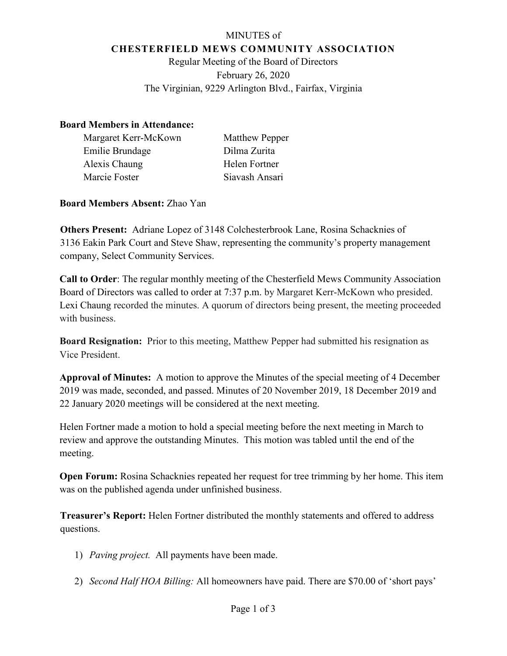# MINUTES of **CHESTERFIELD MEWS COMMUNITY ASSOCIATION**

Regular Meeting of the Board of Directors February 26, 2020 The Virginian, 9229 Arlington Blvd., Fairfax, Virginia

#### **Board Members in Attendance:**

| Margaret Kerr-McKown | Matthew Pepper |
|----------------------|----------------|
| Emilie Brundage      | Dilma Zurita   |
| Alexis Chaung        | Helen Fortner  |
| Marcie Foster        | Siavash Ansari |

## **Board Members Absent:** Zhao Yan

**Others Present:** Adriane Lopez of 3148 Colchesterbrook Lane, Rosina Schacknies of 3136 Eakin Park Court and Steve Shaw, representing the community's property management company, Select Community Services.

**Call to Order**: The regular monthly meeting of the Chesterfield Mews Community Association Board of Directors was called to order at 7:37 p.m. by Margaret Kerr-McKown who presided. Lexi Chaung recorded the minutes. A quorum of directors being present, the meeting proceeded with business.

**Board Resignation:** Prior to this meeting, Matthew Pepper had submitted his resignation as Vice President.

**Approval of Minutes:** A motion to approve the Minutes of the special meeting of 4 December 2019 was made, seconded, and passed. Minutes of 20 November 2019, 18 December 2019 and 22 January 2020 meetings will be considered at the next meeting.

Helen Fortner made a motion to hold a special meeting before the next meeting in March to review and approve the outstanding Minutes. This motion was tabled until the end of the meeting.

**Open Forum:** Rosina Schacknies repeated her request for tree trimming by her home. This item was on the published agenda under unfinished business.

**Treasurer's Report:** Helen Fortner distributed the monthly statements and offered to address questions.

- 1) *Paving project.* All payments have been made.
- 2) *Second Half HOA Billing:* All homeowners have paid. There are \$70.00 of 'short pays'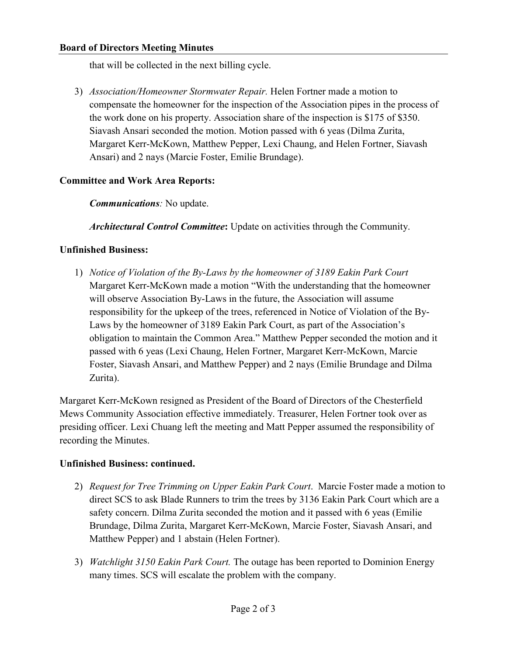#### **Board of Directors Meeting Minutes**

that will be collected in the next billing cycle.

3) *Association/Homeowner Stormwater Repair.* Helen Fortner made a motion to compensate the homeowner for the inspection of the Association pipes in the process of the work done on his property. Association share of the inspection is \$175 of \$350. Siavash Ansari seconded the motion. Motion passed with 6 yeas (Dilma Zurita, Margaret Kerr-McKown, Matthew Pepper, Lexi Chaung, and Helen Fortner, Siavash Ansari) and 2 nays (Marcie Foster, Emilie Brundage).

### **Committee and Work Area Reports:**

*Communications:* No update.

*Architectural Control Committee***:** Update on activities through the Community.

## **Unfinished Business:**

1) *Notice of Violation of the By-Laws by the homeowner of 3189 Eakin Park Court* Margaret Kerr-McKown made a motion "With the understanding that the homeowner will observe Association By-Laws in the future, the Association will assume responsibility for the upkeep of the trees, referenced in Notice of Violation of the By-Laws by the homeowner of 3189 Eakin Park Court, as part of the Association's obligation to maintain the Common Area." Matthew Pepper seconded the motion and it passed with 6 yeas (Lexi Chaung, Helen Fortner, Margaret Kerr-McKown, Marcie Foster, Siavash Ansari, and Matthew Pepper) and 2 nays (Emilie Brundage and Dilma Zurita).

Margaret Kerr-McKown resigned as President of the Board of Directors of the Chesterfield Mews Community Association effective immediately. Treasurer, Helen Fortner took over as presiding officer. Lexi Chuang left the meeting and Matt Pepper assumed the responsibility of recording the Minutes.

### **Unfinished Business: continued.**

- 2) *Request for Tree Trimming on Upper Eakin Park Court*. Marcie Foster made a motion to direct SCS to ask Blade Runners to trim the trees by 3136 Eakin Park Court which are a safety concern. Dilma Zurita seconded the motion and it passed with 6 yeas (Emilie Brundage, Dilma Zurita, Margaret Kerr-McKown, Marcie Foster, Siavash Ansari, and Matthew Pepper) and 1 abstain (Helen Fortner).
- 3) *Watchlight 3150 Eakin Park Court.* The outage has been reported to Dominion Energy many times. SCS will escalate the problem with the company.